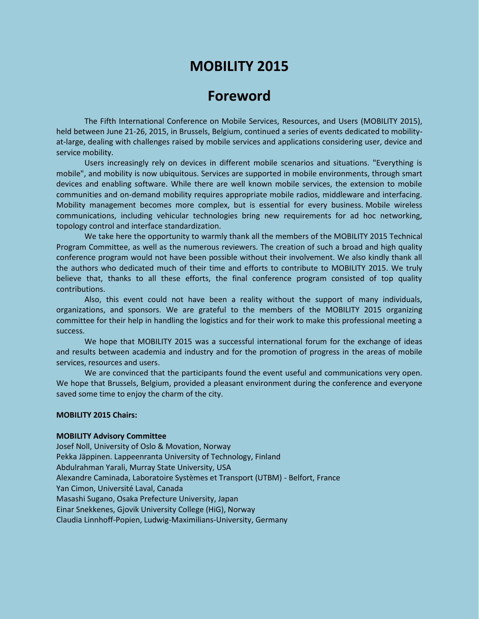# **MOBILITY 2015**

# **Foreword**

The Fifth International Conference on Mobile Services, Resources, and Users (MOBILITY 2015), held between June 21-26, 2015, in Brussels, Belgium, continued a series of events dedicated to mobilityat-large, dealing with challenges raised by mobile services and applications considering user, device and service mobility.

Users increasingly rely on devices in different mobile scenarios and situations. "Everything is mobile", and mobility is now ubiquitous. Services are supported in mobile environments, through smart devices and enabling software. While there are well known mobile services, the extension to mobile communities and on-demand mobility requires appropriate mobile radios, middleware and interfacing. Mobility management becomes more complex, but is essential for every business. Mobile wireless communications, including vehicular technologies bring new requirements for ad hoc networking, topology control and interface standardization.

We take here the opportunity to warmly thank all the members of the MOBILITY 2015 Technical Program Committee, as well as the numerous reviewers. The creation of such a broad and high quality conference program would not have been possible without their involvement. We also kindly thank all the authors who dedicated much of their time and efforts to contribute to MOBILITY 2015. We truly believe that, thanks to all these efforts, the final conference program consisted of top quality contributions.

Also, this event could not have been a reality without the support of many individuals, organizations, and sponsors. We are grateful to the members of the MOBILITY 2015 organizing committee for their help in handling the logistics and for their work to make this professional meeting a success.

We hope that MOBILITY 2015 was a successful international forum for the exchange of ideas and results between academia and industry and for the promotion of progress in the areas of mobile services, resources and users.

We are convinced that the participants found the event useful and communications very open. We hope that Brussels, Belgium, provided a pleasant environment during the conference and everyone saved some time to enjoy the charm of the city.

### **MOBILITY 2015 Chairs:**

#### **MOBILITY Advisory Committee**

Josef Noll, University of Oslo & Movation, Norway Pekka Jäppinen. Lappeenranta University of Technology, Finland Abdulrahman Yarali, Murray State University, USA Alexandre Caminada, Laboratoire Systèmes et Transport (UTBM) - Belfort, France Yan Cimon, Université Laval, Canada Masashi Sugano, Osaka Prefecture University, Japan Einar Snekkenes, Gjovik University College (HiG), Norway Claudia Linnhoff-Popien, Ludwig-Maximilians-University, Germany